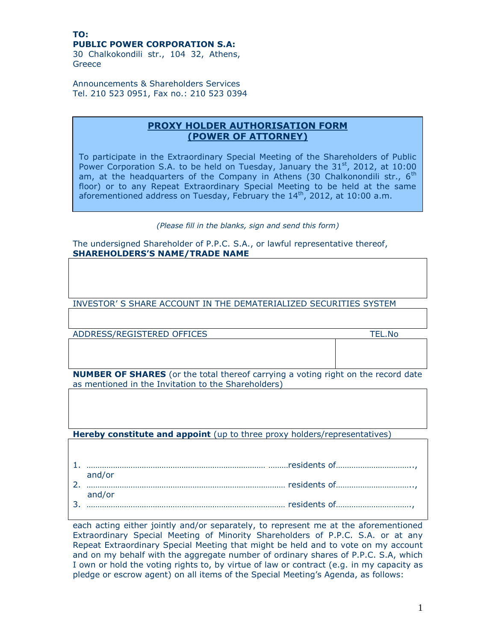## **TO: PUBLIC POWER CORPORATION S.A:**

30 Chalkokondili str., 104 32, Athens, Greece

Announcements & Shareholders Services Tel. 210 523 0951, Fax no.: 210 523 0394

## **PROXY HOLDER AUTHORISATION FORM (POWER OF ATTORNEY)**

To participate in the Extraordinary Special Meeting of the Shareholders of Public Power Corporation S.A. to be held on Tuesday, January the  $31<sup>st</sup>$ , 2012, at 10:00 am, at the headquarters of the Company in Athens (30 Chalkonondili str.,  $6<sup>th</sup>$ floor) or to any Repeat Extraordinary Special Meeting to be held at the same aforementioned address on Tuesday, February the  $14<sup>th</sup>$ , 2012, at 10:00 a.m.

## *(Please fill in the blanks, sign and send this form)*

The undersigned Shareholder of P.P.C. S.A., or lawful representative thereof, **SHAREHOLDERS'S NAME/TRADE NAME**

INVESTOR' S SHARE ACCOUNT IN THE DEMATERIALIZED SECURITIES SYSTEM

ADDRESS/REGISTERED OFFICES TEL.No

**NUMBER OF SHARES** (or the total thereof carrying a voting right on the record date as mentioned in the Invitation to the Shareholders)

**Hereby constitute and appoint** (up to three proxy holders/representatives)

| and/or |
|--------|
|        |
| and/or |
|        |

each acting either jointly and/or separately, to represent me at the aforementioned Extraordinary Special Meeting of Minority Shareholders of P.P.C. S.A. or at any Repeat Extraordinary Special Meeting that might be held and to vote on my account and on my behalf with the aggregate number of ordinary shares of P.P.C. S.A, which I own or hold the voting rights to, by virtue of law or contract (e.g. in my capacity as pledge or escrow agent) on all items of the Special Meeting's Agenda, as follows: